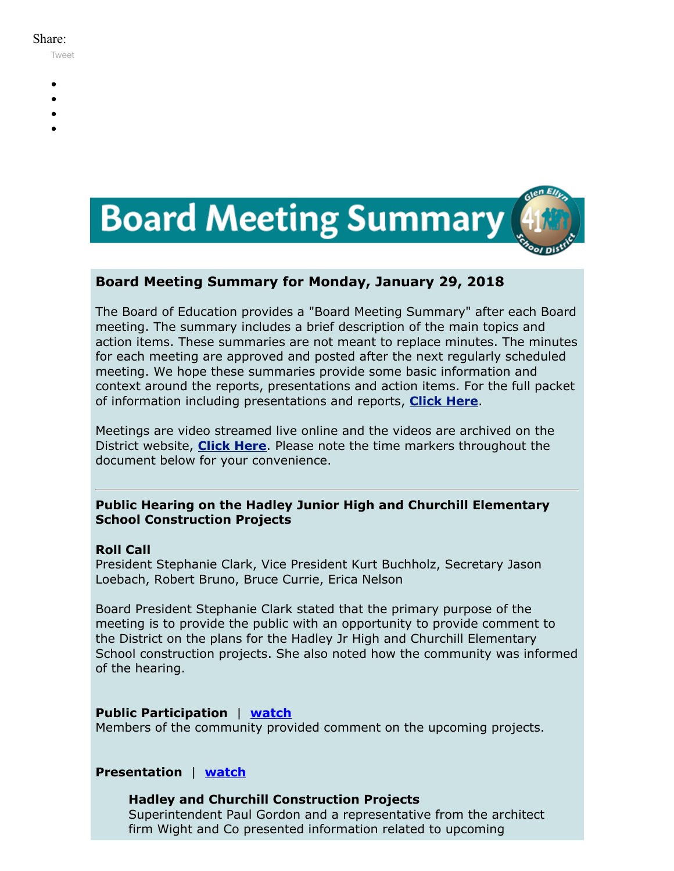#### Share:

[Tweet](https://twitter.com/intent/tweet?original_referer=https%3A%2F%2Fmyemail.constantcontact.com%2FBoard-Meeting-Summary-for-January-29--2018.html%3Fsoid%3D1102200973173%26aid%3DLPknFwkI2hc&ref_src=twsrc%5Etfw&text=Board%20Meeting%20Summary%20for%20January%2029%2C%202018&tw_p=tweetbutton&url=https%3A%2F%2Fmyemail.constantcontact.com%2FBoard-Meeting-Summary-for-January-29--2018.html%3Fsoid%3D1102200973173%26aid%3DLPknFwkI2hc)

- 
- 
- 
- 
- 



### **Board Meeting Summary for Monday, January 29, 2018**

The Board of Education provides a "Board Meeting Summary" after each Board meeting. The summary includes a brief description of the main topics and action items. These summaries are not meant to replace minutes. The minutes for each meeting are approved and posted after the next regularly scheduled meeting. We hope these summaries provide some basic information and context around the reports, presentations and action items. For the full packet of information including presentations and reports, **[Click Here](http://www.d41.org/domain/36)**.

Meetings are video streamed live online and the videos are archived on the District website, **[Click Here](http://www.d41.org/domain/463)**. Please note the time markers throughout the document below for your convenience.

### **Public Hearing on the Hadley Junior High and Churchill Elementary School Construction Projects**

#### **Roll Call**

President Stephanie Clark, Vice President Kurt Buchholz, Secretary Jason Loebach, Robert Bruno, Bruce Currie, Erica Nelson

Board President Stephanie Clark stated that the primary purpose of the meeting is to provide the public with an opportunity to provide comment to the District on the plans for the Hadley Jr High and Churchill Elementary School construction projects. She also noted how the community was informed of the hearing.

#### **Public Participation** | **[watch](https://youtu.be/TrSxNfV7aT0?t=1m58s)**

Members of the community provided comment on the upcoming projects.

#### **Presentation** | **[watch](https://youtu.be/TrSxNfV7aT0?t=7m00s)**

#### **Hadley and Churchill Construction Projects**

Superintendent Paul Gordon and a representative from the architect firm Wight and Co presented information related to upcoming